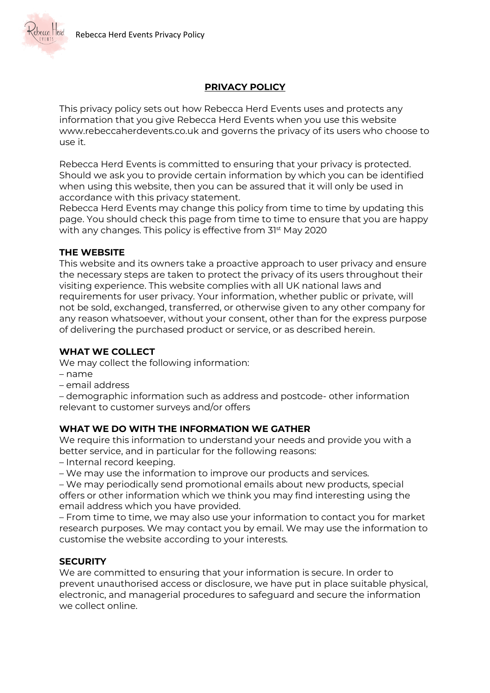

# **PRIVACY POLICY**

This privacy policy sets out how Rebecca Herd Events uses and protects any information that you give Rebecca Herd Events when you use this website www.rebeccaherdevents.co.uk and governs the privacy of its users who choose to use it.

Rebecca Herd Events is committed to ensuring that your privacy is protected. Should we ask you to provide certain information by which you can be identified when using this website, then you can be assured that it will only be used in accordance with this privacy statement.

Rebecca Herd Events may change this policy from time to time by updating this page. You should check this page from time to time to ensure that you are happy with any changes. This policy is effective from 31<sup>st</sup> May 2020

#### **THE WEBSITE**

This website and its owners take a proactive approach to user privacy and ensure the necessary steps are taken to protect the privacy of its users throughout their visiting experience. This website complies with all UK national laws and requirements for user privacy. Your information, whether public or private, will not be sold, exchanged, transferred, or otherwise given to any other company for any reason whatsoever, without your consent, other than for the express purpose of delivering the purchased product or service, or as described herein.

### **WHAT WE COLLECT**

We may collect the following information:

- name
- email address

– demographic information such as address and postcode- other information relevant to customer surveys and/or offers

### **WHAT WE DO WITH THE INFORMATION WE GATHER**

We require this information to understand your needs and provide you with a better service, and in particular for the following reasons:

– Internal record keeping.

– We may use the information to improve our products and services.

– We may periodically send promotional emails about new products, special offers or other information which we think you may find interesting using the email address which you have provided.

– From time to time, we may also use your information to contact you for market research purposes. We may contact you by email. We may use the information to customise the website according to your interests.

### **SECURITY**

We are committed to ensuring that your information is secure. In order to prevent unauthorised access or disclosure, we have put in place suitable physical, electronic, and managerial procedures to safeguard and secure the information we collect online.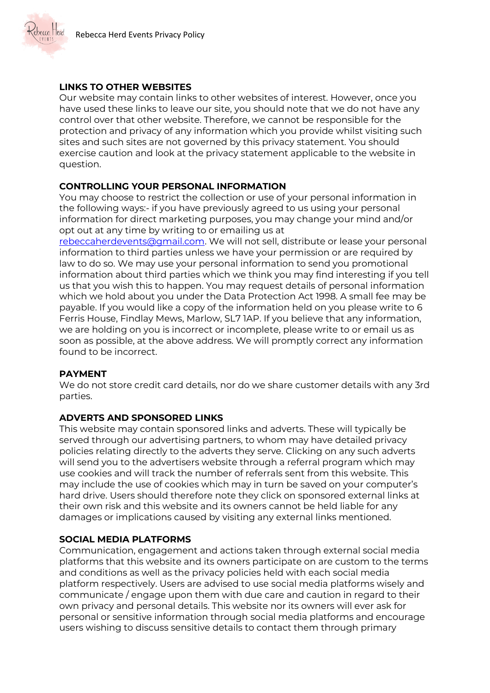

## **LINKS TO OTHER WEBSITES**

Our website may contain links to other websites of interest. However, once you have used these links to leave our site, you should note that we do not have any control over that other website. Therefore, we cannot be responsible for the protection and privacy of any information which you provide whilst visiting such sites and such sites are not governed by this privacy statement. You should exercise caution and look at the privacy statement applicable to the website in question.

### **CONTROLLING YOUR PERSONAL INFORMATION**

You may choose to restrict the collection or use of your personal information in the following ways:- if you have previously agreed to us using your personal information for direct marketing purposes, you may change your mind and/or opt out at any time by writing to or emailing us at

[rebeccaherdevents@gmail.com.](mailto:rebeccaherdevents@gmail.com) We will not sell, distribute or lease your personal information to third parties unless we have your permission or are required by law to do so. We may use your personal information to send you promotional information about third parties which we think you may find interesting if you tell us that you wish this to happen. You may request details of personal information which we hold about you under the Data Protection Act 1998. A small fee may be payable. If you would like a copy of the information held on you please write to 6 Ferris House, Findlay Mews, Marlow, SL7 1AP. If you believe that any information, we are holding on you is incorrect or incomplete, please write to or email us as soon as possible, at the above address. We will promptly correct any information found to be incorrect.

### **PAYMENT**

We do not store credit card details, nor do we share customer details with any 3rd parties.

### **ADVERTS AND SPONSORED LINKS**

This website may contain sponsored links and adverts. These will typically be served through our advertising partners, to whom may have detailed privacy policies relating directly to the adverts they serve. Clicking on any such adverts will send you to the advertisers website through a referral program which may use cookies and will track the number of referrals sent from this website. This may include the use of cookies which may in turn be saved on your computer's hard drive. Users should therefore note they click on sponsored external links at their own risk and this website and its owners cannot be held liable for any damages or implications caused by visiting any external links mentioned.

### **SOCIAL MEDIA PLATFORMS**

Communication, engagement and actions taken through external social media platforms that this website and its owners participate on are custom to the terms and conditions as well as the privacy policies held with each social media platform respectively. Users are advised to use social media platforms wisely and communicate / engage upon them with due care and caution in regard to their own privacy and personal details. This website nor its owners will ever ask for personal or sensitive information through social media platforms and encourage users wishing to discuss sensitive details to contact them through primary